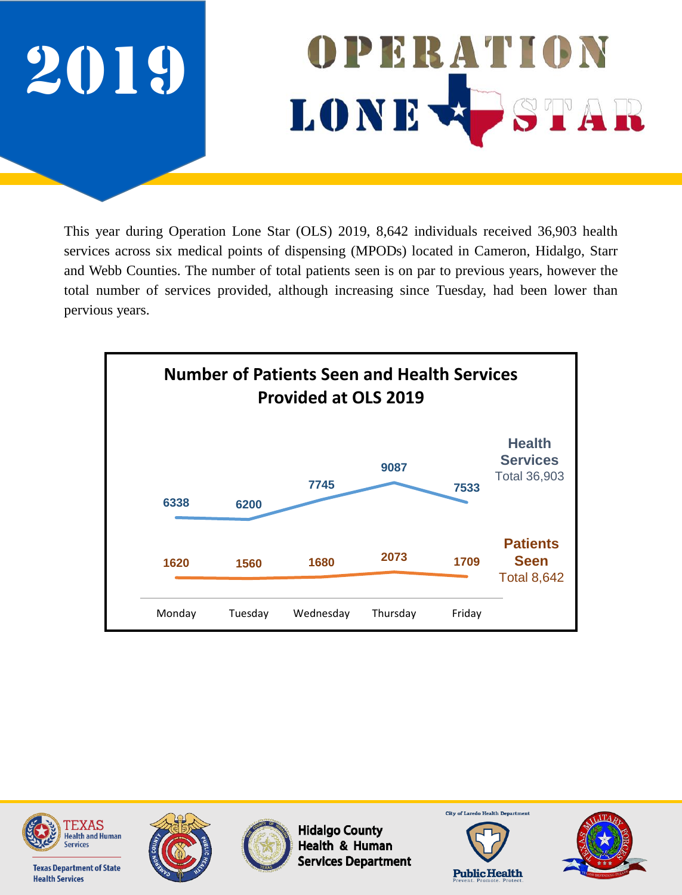

This year during Operation Lone Star (OLS) 2019, 8,642 individuals received 36,903 health services across six medical points of dispensing (MPODs) located in Cameron, Hidalgo, Starr and Webb Counties. The number of total patients seen is on par to previous years, however the total number of services provided, although increasing since Tuesday, had been lower than pervious years.





**Texas Department of State** 

**Health Services** 





**Hidalgo County** Health & Human **Services Department** 



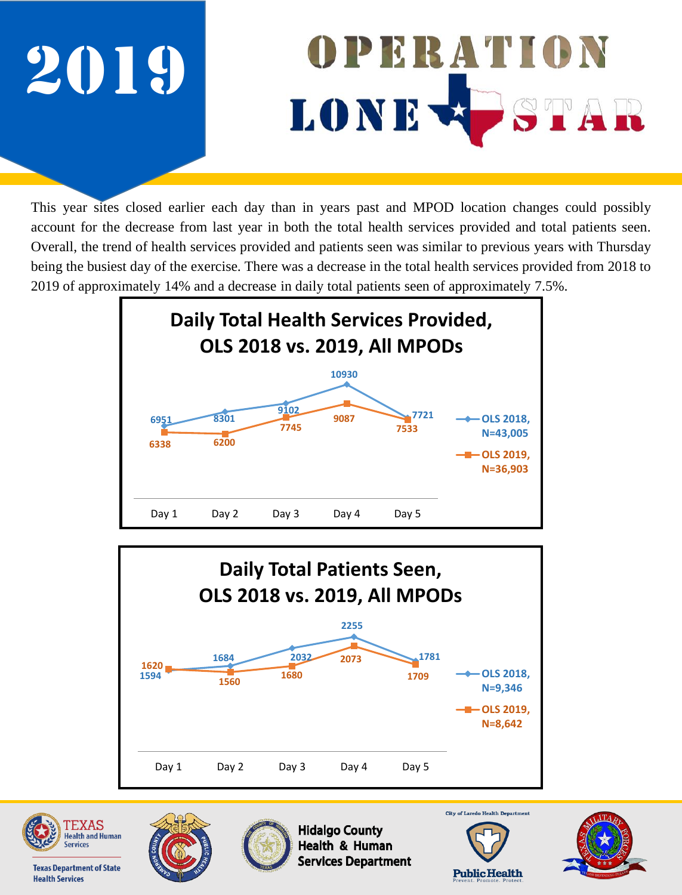

This year sites closed earlier each day than in years past and MPOD location changes could possibly account for the decrease from last year in both the total health services provided and total patients seen. Overall, the trend of health services provided and patients seen was similar to previous years with Thursday being the busiest day of the exercise. There was a decrease in the total health services provided from 2018 to 2019 of approximately 14% and a decrease in daily total patients seen of approximately 7.5%.







**Health Services** 

**Texas Department of State** 





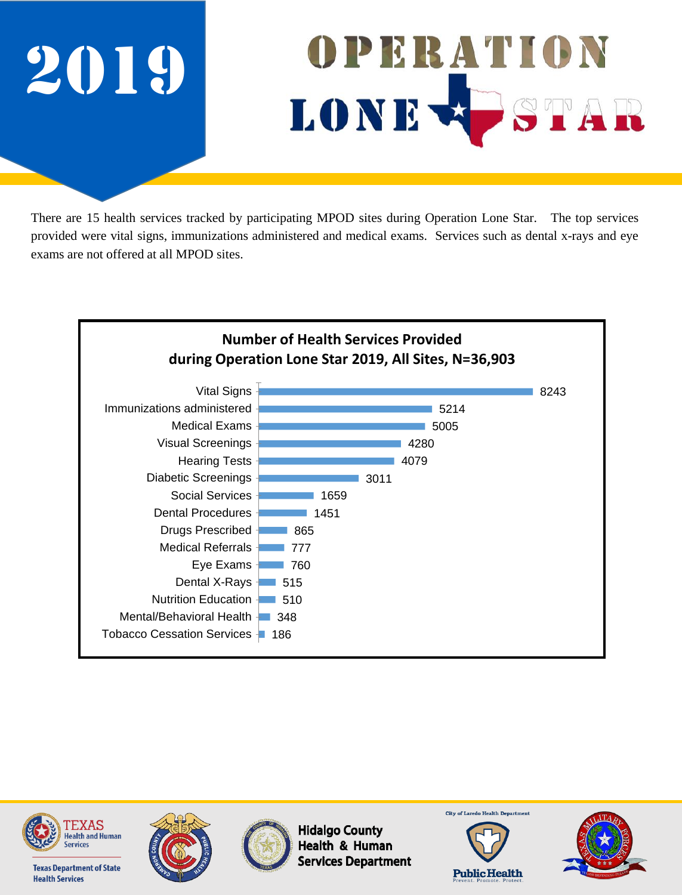

There are 15 health services tracked by participating MPOD sites during Operation Lone Star. The top services provided were vital signs, immunizations administered and medical exams. Services such as dental x-rays and eye exams are not offered at all MPOD sites.











**Hidalgo County** Health & Human **Services Department** 



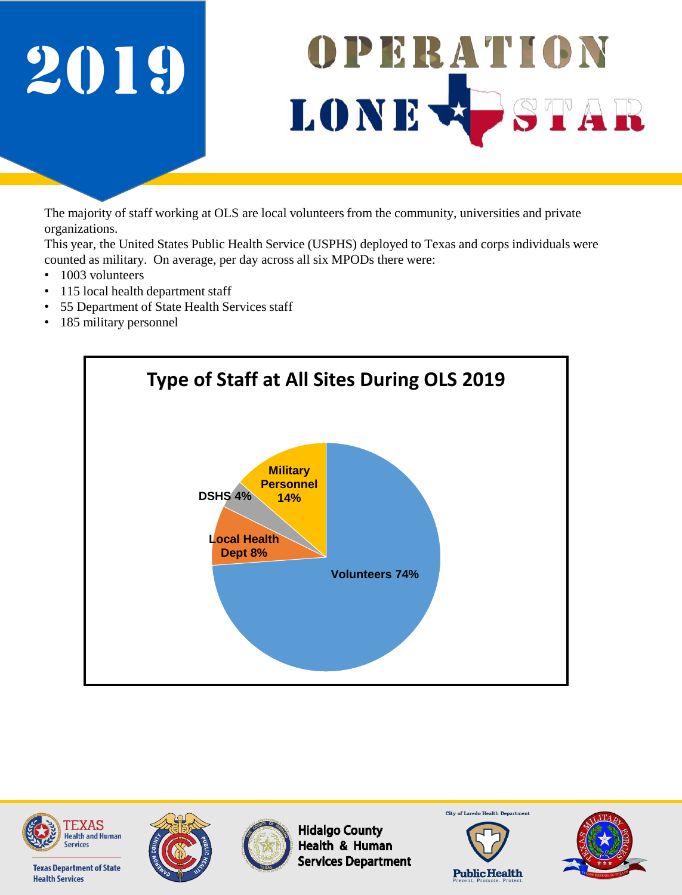

The majority of staff working at OLS are local volunteers from the community, universities and private organizations.

This year, the United States Public Health Service (USPHS) deployed to Texas and corps individuals were counted as military. On average, per day across all six MPODs there were:

- 1003 volunteers
- 115 local health department staff
- 55 Department of State Health Services staff
- 185 military personnel





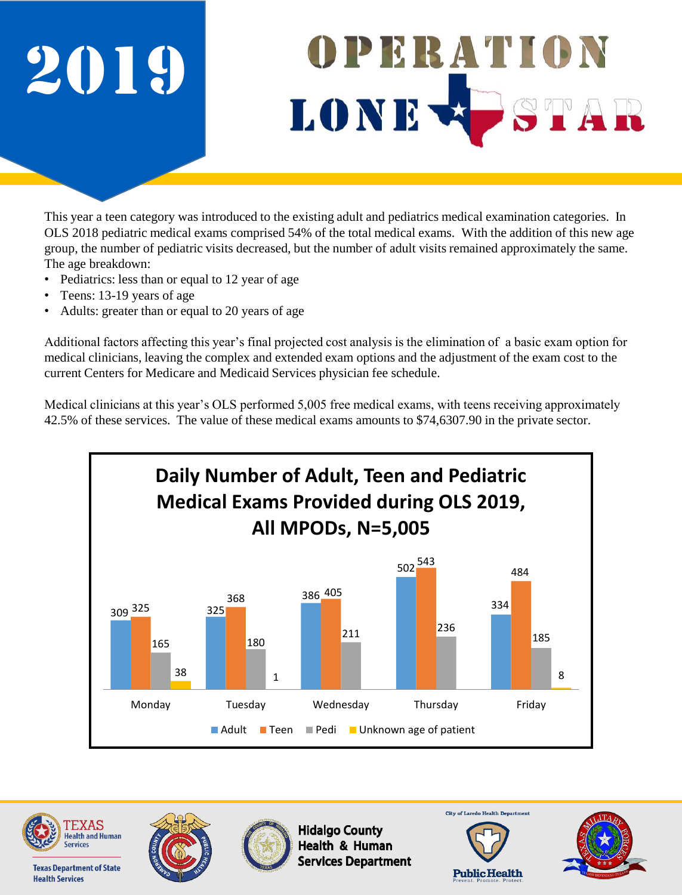

This year a teen category was introduced to the existing adult and pediatrics medical examination categories. In OLS 2018 pediatric medical exams comprised 54% of the total medical exams. With the addition of this new age group, the number of pediatric visits decreased, but the number of adult visits remained approximately the same. The age breakdown:

- Pediatrics: less than or equal to 12 year of age
- Teens: 13-19 years of age
- Adults: greater than or equal to 20 years of age

Additional factors affecting this year's final projected cost analysis is the elimination of a basic exam option for medical clinicians, leaving the complex and extended exam options and the adjustment of the exam cost to the current Centers for Medicare and Medicaid Services physician fee schedule.

Medical clinicians at this year's OLS performed 5,005 free medical exams, with teens receiving approximately 42.5% of these services. The value of these medical exams amounts to \$74,6307.90 in the private sector.











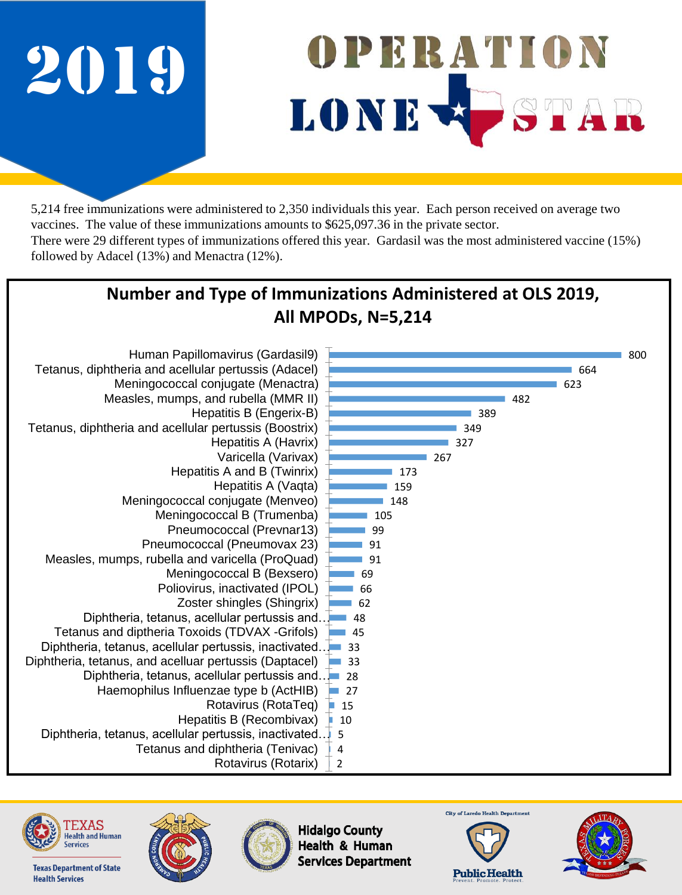followed by Adacel (13%) and Menactra (12%).



5,214 free immunizations were administered to 2,350 individuals this year. Each person received on average two vaccines. The value of these immunizations amounts to \$625,097.36 in the private sector. There were 29 different types of immunizations offered this year. Gardasil was the most administered vaccine (15%)

#### **Number and Type of Immunizations Administered at OLS 2019, All MPODs, N=5,214**





**Texas Department of State** 

**Health Services** 





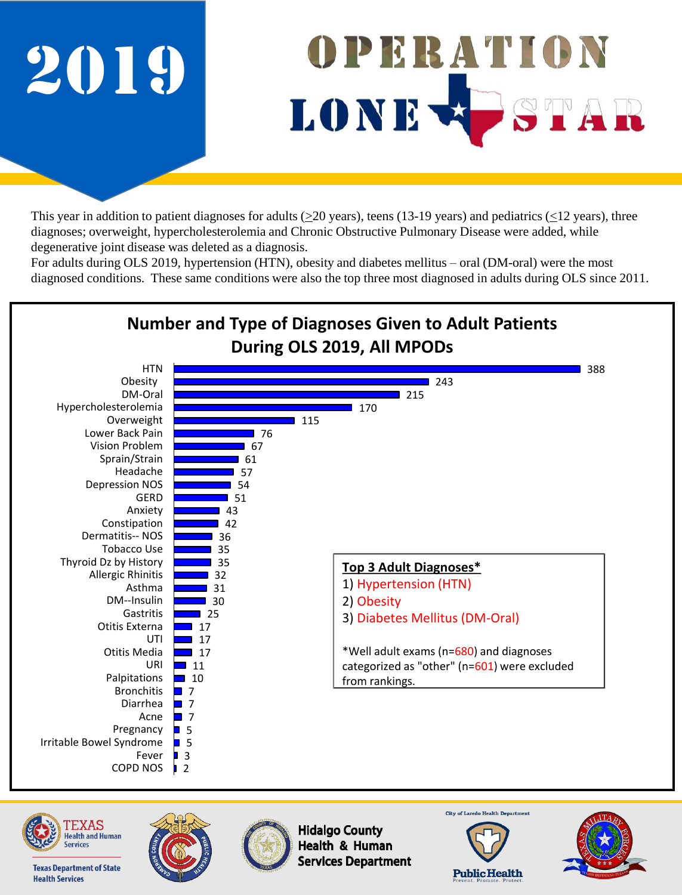

This year in addition to patient diagnoses for adults ( $\geq$ 20 years), teens (13-19 years) and pediatrics ( $\leq$ 12 years), three diagnoses; overweight, hypercholesterolemia and Chronic Obstructive Pulmonary Disease were added, while degenerative joint disease was deleted as a diagnosis.

For adults during OLS 2019, hypertension (HTN), obesity and diabetes mellitus – oral (DM-oral) were the most diagnosed conditions. These same conditions were also the top three most diagnosed in adults during OLS since 2011.





**Texas Department of State** 

**Health Services** 







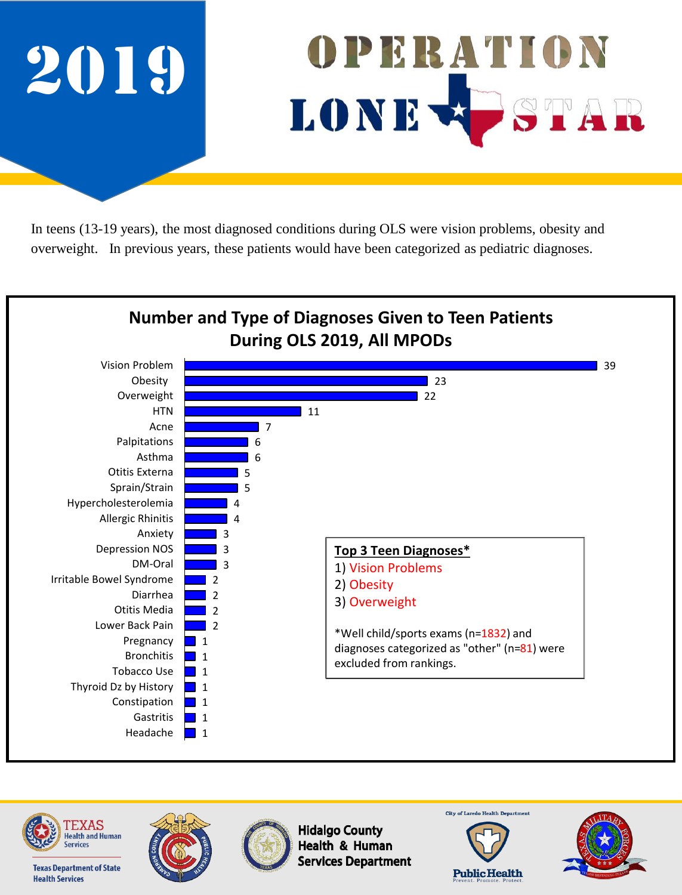

In teens (13-19 years), the most diagnosed conditions during OLS were vision problems, obesity and overweight. In previous years, these patients would have been categorized as pediatric diagnoses.





**Texas Department of State** 

**Health Services** 





**Hidalgo County** Health & Human **Services Department**